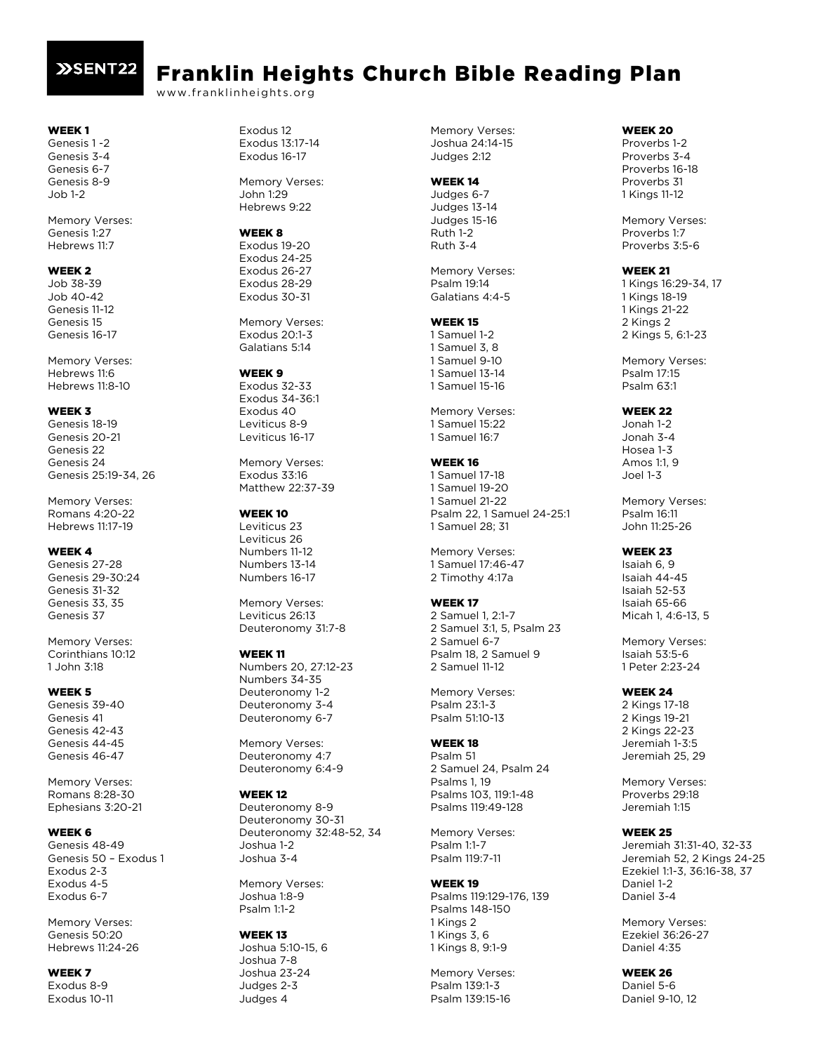## **XSENT22**

# Franklin Heights Church Bible Reading Plan

www.franklinheights.org

## WEEK 1

Genesis 1 -2 Genesis 3-4 Genesis 6-7 Genesis 8-9 Job 1-2

Memory Verses: Genesis 1:27 Hebrews 11:7

## WEEK 2

Job 38-39 Job 40-42 Genesis 11-12 Genesis 15 Genesis 16-17

Memory Verses: Hebrews 11:6 Hebrews 11:8-10

## WEEK 3

Genesis 18-19 Genesis 20-21 Genesis 22 Genesis 24 Genesis 25:19-34, 26

Memory Verses: Romans 4:20-22 Hebrews 11:17-19

#### WEEK 4

Genesis 27-28 Genesis 29-30:24 Genesis 31-32 Genesis 33, 35 Genesis 37

Memory Verses: Corinthians 10:12 1 John 3:18

#### WEEK 5

Genesis 39-40 Genesis 41 Genesis 42-43 Genesis 44-45 Genesis 46-47

Memory Verses: Romans 8:28-30 Ephesians 3:20-21

## WEEK<sub>6</sub>

Genesis 48-49 Genesis 50 – Exodus 1 Exodus 2-3 Exodus 4-5 Exodus 6-7

Memory Verses: Genesis 50:20 Hebrews 11:24-26

#### WEEK<sub>7</sub> Exodus 8-9 Exodus 10-11

Exodus 12 Exodus 13:17-14 Exodus 16-17

Memory Verses: John 1:29 Hebrews 9:22

## WEEK 8

Exodus 19-20 Exodus 24-25 Exodus 26-27 Exodus 28-29 Exodus 30-31

Memory Verses: Exodus 20:1-3 Galatians 5:14

#### WEEK<sub>9</sub>

Exodus 32-33 Exodus 34-36:1 Exodus 40 Leviticus 8-9 Leviticus 16-17

Memory Verses: Exodus 33:16 Matthew 22:37-39

#### WEEK 10

Leviticus 23 Leviticus 26 Numbers 11-12 Numbers 13-14 Numbers 16-17

Memory Verses: Leviticus 26:13 Deuteronomy 31:7-8

#### WEEK 11

Numbers 20, 27:12-23 Numbers 34-35 Deuteronomy 1-2 Deuteronomy 3-4 Deuteronomy 6-7

Memory Verses: Deuteronomy 4:7 Deuteronomy 6:4-9

#### WEEK 12

Deuteronomy 8-9 Deuteronomy 30-31 Deuteronomy 32:48-52, 34 Joshua 1-2 Joshua 3-4

Memory Verses: Joshua 1:8-9 Psalm 1:1-2

#### WEEK 13

Joshua 5:10-15, 6 Joshua 7-8 Joshua 23-24 Judges 2-3 Judges 4

Memory Verses: Joshua 24:14-15 Judges 2:12

## WEEK 14

Judges 6-7 Judges 13-14 Judges 15-16 Ruth 1-2 Ruth 3-4

Memory Verses: Psalm 19:14 Galatians 4:4-5

## WEEK 15

1 Samuel 1-2 1 Samuel 3, 8 1 Samuel 9-10 1 Samuel 13-14 1 Samuel 15-16

Memory Verses: 1 Samuel 15:22 1 Samuel 16:7

## WEEK 16

1 Samuel 17-18 1 Samuel 19-20 1 Samuel 21-22 Psalm 22, 1 Samuel 24-25:1 1 Samuel 28; 31

Memory Verses: 1 Samuel 17:46-47 2 Timothy 4:17a

## WEEK 17

2 Samuel 1, 2:1-7 2 Samuel 3:1, 5, Psalm 23 2 Samuel 6-7 Psalm 18, 2 Samuel 9 2 Samuel 11-12

Memory Verses: Psalm 23:1-3 Psalm 51:10-13

## WEEK 18

Psalm 51 2 Samuel 24, Psalm 24 Psalms 1, 19 Psalms 103, 119:1-48 Psalms 119:49-128

Memory Verses: Psalm 1:1-7 Psalm 119:7-11

## WEEK 19

Psalms 119:129-176, 139 Psalms 148-150 1 Kings 2 1 Kings 3, 6 1 Kings 8, 9:1-9

Memory Verses: Psalm 139:1-3 Psalm 139:15-16

## WEEK 20

Proverbs 1-2 Proverbs 3-4 Proverbs 16-18 Proverbs 31 1 Kings 11-12

Memory Verses: Proverbs 1:7 Proverbs 3:5-6

## WEEK 21

1 Kings 16:29-34, 17 1 Kings 18-19 1 Kings 21-22 2 Kings 2 2 Kings 5, 6:1-23

Memory Verses: Psalm 17:15 Psalm 63:1

## WEEK 22

Jonah 1-2 Jonah 3-4 Hosea 1-3 Amos 1:1, 9 Joel 1-3

Memory Verses: Psalm 16:11 John 11:25-26

## WEEK 23

Isaiah 6, 9 Isaiah 44-45 Isaiah 52-53 Isaiah 65-66 Micah 1, 4:6-13, 5

Memory Verses: Isaiah 53:5-6 1 Peter 2:23-24

## WEEK 24

2 Kings 17-18 2 Kings 19-21 2 Kings 22-23 Jeremiah 1-3:5 Jeremiah 25, 29

Memory Verses: Proverbs 29:18 Jeremiah 1:15

## WEEK 25

Jeremiah 31:31-40, 32-33 Jeremiah 52, 2 Kings 24-25 Ezekiel 1:1-3, 36:16-38, 37 Daniel 1-2 Daniel 3-4

Memory Verses: Ezekiel 36:26-27 Daniel 4:35

WEEK 26 Daniel 5-6 Daniel 9-10, 12